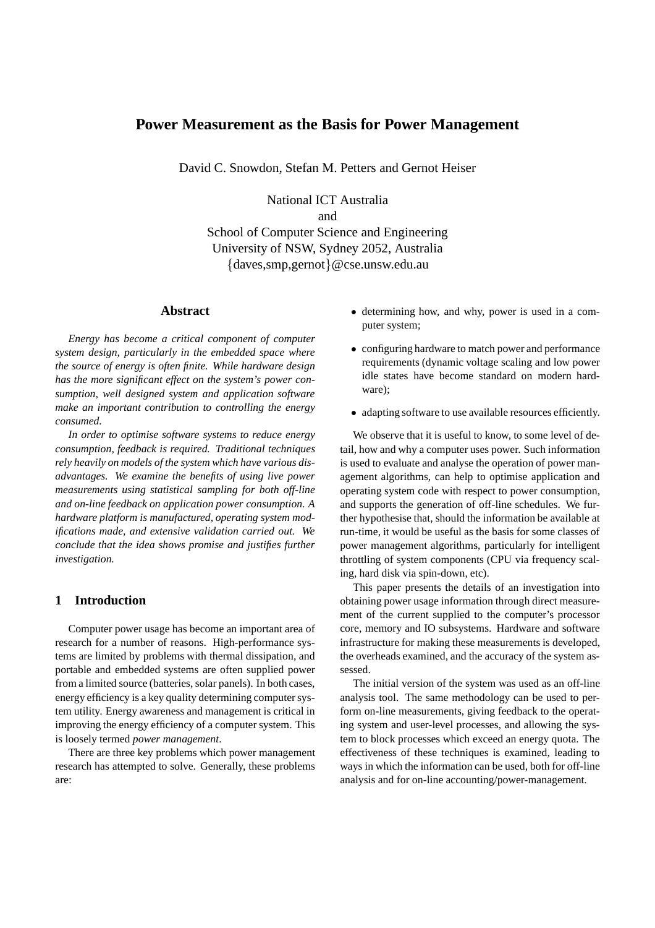# **Power Measurement as the Basis for Power Management**

David C. Snowdon, Stefan M. Petters and Gernot Heiser

National ICT Australia and School of Computer Science and Engineering University of NSW, Sydney 2052, Australia {daves,smp,gernot}@cse.unsw.edu.au

### **Abstract**

*Energy has become a critical component of computer system design, particularly in the embedded space where the source of energy is often finite. While hardware design has the more significant effect on the system's power consumption, well designed system and application software make an important contribution to controlling the energy consumed.*

*In order to optimise software systems to reduce energy consumption, feedback is required. Traditional techniques rely heavily on models of the system which have various disadvantages. We examine the benefits of using live power measurements using statistical sampling for both off-line and on-line feedback on application power consumption. A hardware platform is manufactured, operating system modifications made, and extensive validation carried out. We conclude that the idea shows promise and justifies further investigation.*

## **1 Introduction**

Computer power usage has become an important area of research for a number of reasons. High-performance systems are limited by problems with thermal dissipation, and portable and embedded systems are often supplied power from a limited source (batteries, solar panels). In both cases, energy efficiency is a key quality determining computer system utility. Energy awareness and management is critical in improving the energy efficiency of a computer system. This is loosely termed *power management*.

There are three key problems which power management research has attempted to solve. Generally, these problems are:

- determining how, and why, power is used in a computer system;
- configuring hardware to match power and performance requirements (dynamic voltage scaling and low power idle states have become standard on modern hardware);
- adapting software to use available resources efficiently.

We observe that it is useful to know, to some level of detail, how and why a computer uses power. Such information is used to evaluate and analyse the operation of power management algorithms, can help to optimise application and operating system code with respect to power consumption, and supports the generation of off-line schedules. We further hypothesise that, should the information be available at run-time, it would be useful as the basis for some classes of power management algorithms, particularly for intelligent throttling of system components (CPU via frequency scaling, hard disk via spin-down, etc).

This paper presents the details of an investigation into obtaining power usage information through direct measurement of the current supplied to the computer's processor core, memory and IO subsystems. Hardware and software infrastructure for making these measurements is developed, the overheads examined, and the accuracy of the system assessed.

The initial version of the system was used as an off-line analysis tool. The same methodology can be used to perform on-line measurements, giving feedback to the operating system and user-level processes, and allowing the system to block processes which exceed an energy quota. The effectiveness of these techniques is examined, leading to ways in which the information can be used, both for off-line analysis and for on-line accounting/power-management.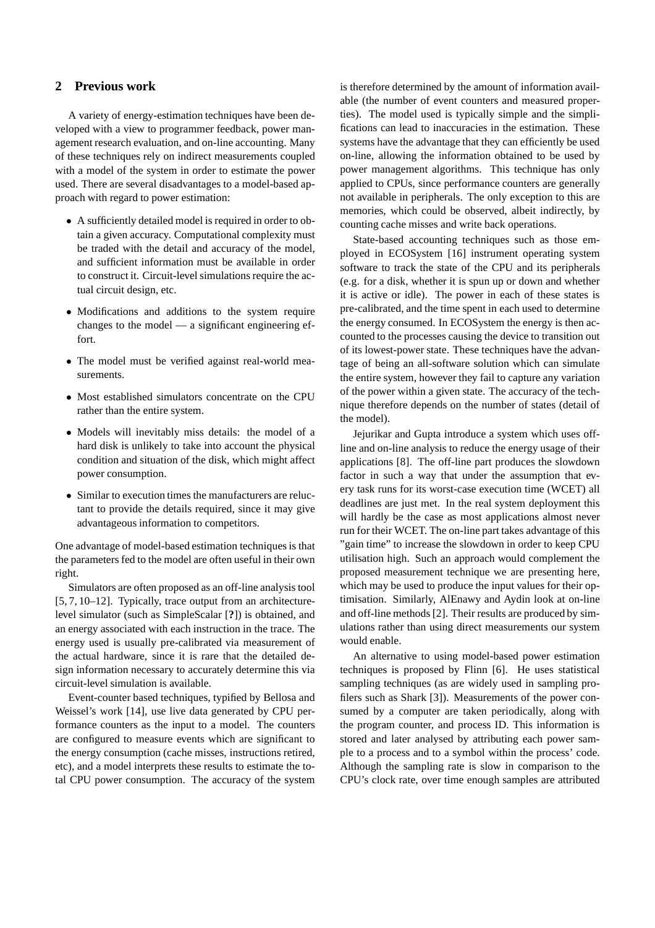#### **2 Previous work**

A variety of energy-estimation techniques have been developed with a view to programmer feedback, power management research evaluation, and on-line accounting. Many of these techniques rely on indirect measurements coupled with a model of the system in order to estimate the power used. There are several disadvantages to a model-based approach with regard to power estimation:

- A sufficiently detailed model is required in order to obtain a given accuracy. Computational complexity must be traded with the detail and accuracy of the model, and sufficient information must be available in order to construct it. Circuit-level simulations require the actual circuit design, etc.
- Modifications and additions to the system require changes to the model — a significant engineering effort.
- The model must be verified against real-world measurements.
- Most established simulators concentrate on the CPU rather than the entire system.
- Models will inevitably miss details: the model of a hard disk is unlikely to take into account the physical condition and situation of the disk, which might affect power consumption.
- Similar to execution times the manufacturers are reluctant to provide the details required, since it may give advantageous information to competitors.

One advantage of model-based estimation techniques is that the parameters fed to the model are often useful in their own right.

Simulators are often proposed as an off-line analysis tool [5, 7, 10–12]. Typically, trace output from an architecturelevel simulator (such as SimpleScalar [**?**]) is obtained, and an energy associated with each instruction in the trace. The energy used is usually pre-calibrated via measurement of the actual hardware, since it is rare that the detailed design information necessary to accurately determine this via circuit-level simulation is available.

Event-counter based techniques, typified by Bellosa and Weissel's work [14], use live data generated by CPU performance counters as the input to a model. The counters are configured to measure events which are significant to the energy consumption (cache misses, instructions retired, etc), and a model interprets these results to estimate the total CPU power consumption. The accuracy of the system is therefore determined by the amount of information available (the number of event counters and measured properties). The model used is typically simple and the simplifications can lead to inaccuracies in the estimation. These systems have the advantage that they can efficiently be used on-line, allowing the information obtained to be used by power management algorithms. This technique has only applied to CPUs, since performance counters are generally not available in peripherals. The only exception to this are memories, which could be observed, albeit indirectly, by counting cache misses and write back operations.

State-based accounting techniques such as those employed in ECOSystem [16] instrument operating system software to track the state of the CPU and its peripherals (e.g. for a disk, whether it is spun up or down and whether it is active or idle). The power in each of these states is pre-calibrated, and the time spent in each used to determine the energy consumed. In ECOSystem the energy is then accounted to the processes causing the device to transition out of its lowest-power state. These techniques have the advantage of being an all-software solution which can simulate the entire system, however they fail to capture any variation of the power within a given state. The accuracy of the technique therefore depends on the number of states (detail of the model).

Jejurikar and Gupta introduce a system which uses offline and on-line analysis to reduce the energy usage of their applications [8]. The off-line part produces the slowdown factor in such a way that under the assumption that every task runs for its worst-case execution time (WCET) all deadlines are just met. In the real system deployment this will hardly be the case as most applications almost never run for their WCET. The on-line part takes advantage of this "gain time" to increase the slowdown in order to keep CPU utilisation high. Such an approach would complement the proposed measurement technique we are presenting here, which may be used to produce the input values for their optimisation. Similarly, AlEnawy and Aydin look at on-line and off-line methods [2]. Their results are produced by simulations rather than using direct measurements our system would enable.

An alternative to using model-based power estimation techniques is proposed by Flinn [6]. He uses statistical sampling techniques (as are widely used in sampling profilers such as Shark [3]). Measurements of the power consumed by a computer are taken periodically, along with the program counter, and process ID. This information is stored and later analysed by attributing each power sample to a process and to a symbol within the process' code. Although the sampling rate is slow in comparison to the CPU's clock rate, over time enough samples are attributed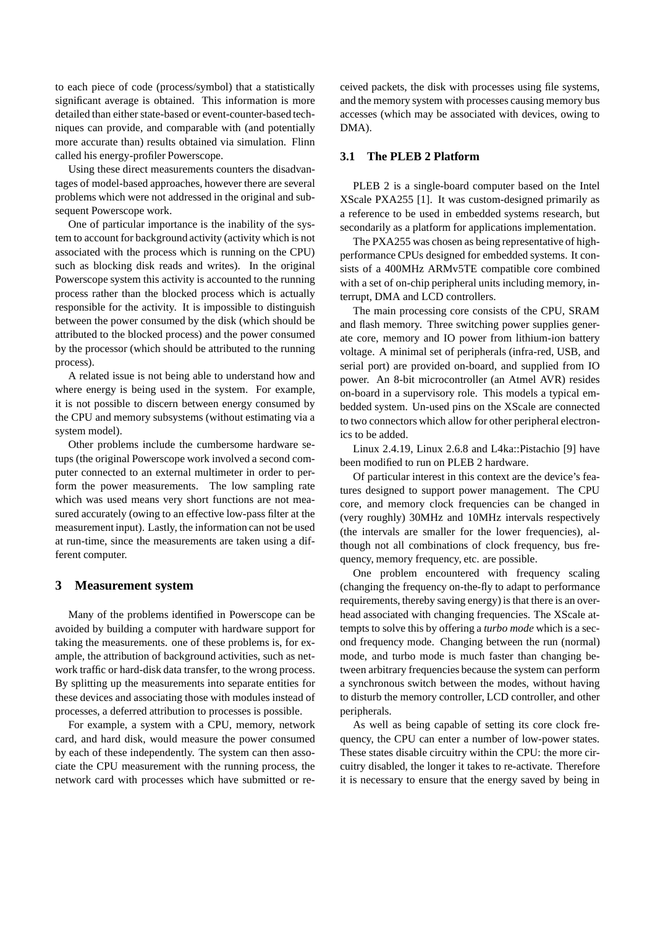to each piece of code (process/symbol) that a statistically significant average is obtained. This information is more detailed than either state-based or event-counter-based techniques can provide, and comparable with (and potentially more accurate than) results obtained via simulation. Flinn called his energy-profiler Powerscope.

Using these direct measurements counters the disadvantages of model-based approaches, however there are several problems which were not addressed in the original and subsequent Powerscope work.

One of particular importance is the inability of the system to account for background activity (activity which is not associated with the process which is running on the CPU) such as blocking disk reads and writes). In the original Powerscope system this activity is accounted to the running process rather than the blocked process which is actually responsible for the activity. It is impossible to distinguish between the power consumed by the disk (which should be attributed to the blocked process) and the power consumed by the processor (which should be attributed to the running process).

A related issue is not being able to understand how and where energy is being used in the system. For example, it is not possible to discern between energy consumed by the CPU and memory subsystems (without estimating via a system model).

Other problems include the cumbersome hardware setups (the original Powerscope work involved a second computer connected to an external multimeter in order to perform the power measurements. The low sampling rate which was used means very short functions are not measured accurately (owing to an effective low-pass filter at the measurement input). Lastly, the information can not be used at run-time, since the measurements are taken using a different computer.

#### **3 Measurement system**

Many of the problems identified in Powerscope can be avoided by building a computer with hardware support for taking the measurements. one of these problems is, for example, the attribution of background activities, such as network traffic or hard-disk data transfer, to the wrong process. By splitting up the measurements into separate entities for these devices and associating those with modules instead of processes, a deferred attribution to processes is possible.

For example, a system with a CPU, memory, network card, and hard disk, would measure the power consumed by each of these independently. The system can then associate the CPU measurement with the running process, the network card with processes which have submitted or received packets, the disk with processes using file systems, and the memory system with processes causing memory bus accesses (which may be associated with devices, owing to DMA).

#### **3.1 The PLEB 2 Platform**

PLEB 2 is a single-board computer based on the Intel XScale PXA255 [1]. It was custom-designed primarily as a reference to be used in embedded systems research, but secondarily as a platform for applications implementation.

The PXA255 was chosen as being representative of highperformance CPUs designed for embedded systems. It consists of a 400MHz ARMv5TE compatible core combined with a set of on-chip peripheral units including memory, interrupt, DMA and LCD controllers.

The main processing core consists of the CPU, SRAM and flash memory. Three switching power supplies generate core, memory and IO power from lithium-ion battery voltage. A minimal set of peripherals (infra-red, USB, and serial port) are provided on-board, and supplied from IO power. An 8-bit microcontroller (an Atmel AVR) resides on-board in a supervisory role. This models a typical embedded system. Un-used pins on the XScale are connected to two connectors which allow for other peripheral electronics to be added.

Linux 2.4.19, Linux 2.6.8 and L4ka::Pistachio [9] have been modified to run on PLEB 2 hardware.

Of particular interest in this context are the device's features designed to support power management. The CPU core, and memory clock frequencies can be changed in (very roughly) 30MHz and 10MHz intervals respectively (the intervals are smaller for the lower frequencies), although not all combinations of clock frequency, bus frequency, memory frequency, etc. are possible.

One problem encountered with frequency scaling (changing the frequency on-the-fly to adapt to performance requirements, thereby saving energy) is that there is an overhead associated with changing frequencies. The XScale attempts to solve this by offering a *turbo mode* which is a second frequency mode. Changing between the run (normal) mode, and turbo mode is much faster than changing between arbitrary frequencies because the system can perform a synchronous switch between the modes, without having to disturb the memory controller, LCD controller, and other peripherals.

As well as being capable of setting its core clock frequency, the CPU can enter a number of low-power states. These states disable circuitry within the CPU: the more circuitry disabled, the longer it takes to re-activate. Therefore it is necessary to ensure that the energy saved by being in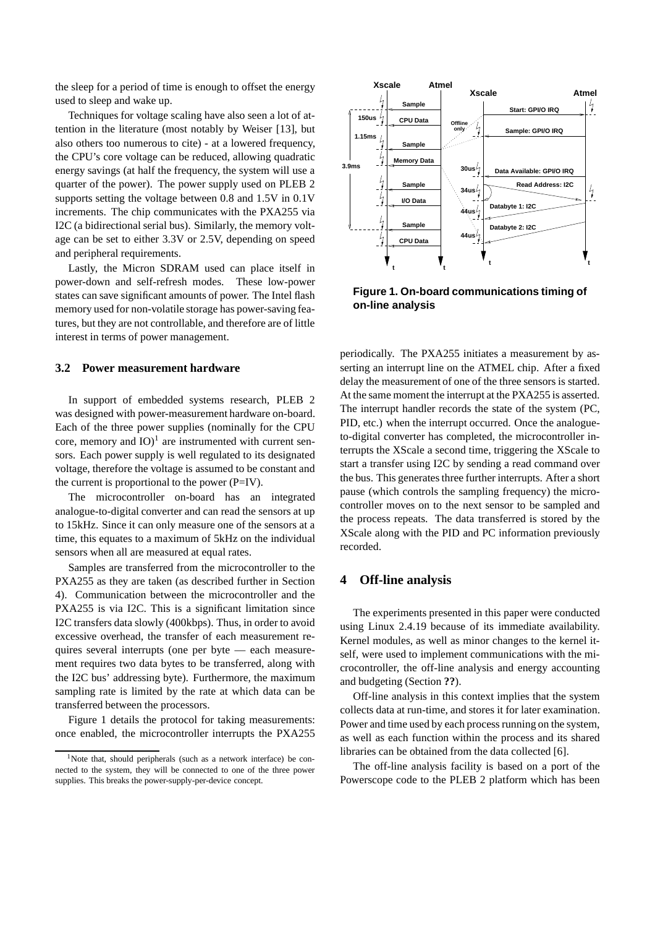the sleep for a period of time is enough to offset the energy used to sleep and wake up.

Techniques for voltage scaling have also seen a lot of attention in the literature (most notably by Weiser [13], but also others too numerous to cite) - at a lowered frequency, the CPU's core voltage can be reduced, allowing quadratic energy savings (at half the frequency, the system will use a quarter of the power). The power supply used on PLEB 2 supports setting the voltage between 0.8 and 1.5V in 0.1V increments. The chip communicates with the PXA255 via I2C (a bidirectional serial bus). Similarly, the memory voltage can be set to either 3.3V or 2.5V, depending on speed and peripheral requirements.

Lastly, the Micron SDRAM used can place itself in power-down and self-refresh modes. These low-power states can save significant amounts of power. The Intel flash memory used for non-volatile storage has power-saving features, but they are not controllable, and therefore are of little interest in terms of power management.

#### **3.2 Power measurement hardware**

In support of embedded systems research, PLEB 2 was designed with power-measurement hardware on-board. Each of the three power supplies (nominally for the CPU core, memory and  $IO)^1$  are instrumented with current sensors. Each power supply is well regulated to its designated voltage, therefore the voltage is assumed to be constant and the current is proportional to the power (P=IV).

The microcontroller on-board has an integrated analogue-to-digital converter and can read the sensors at up to 15kHz. Since it can only measure one of the sensors at a time, this equates to a maximum of 5kHz on the individual sensors when all are measured at equal rates.

Samples are transferred from the microcontroller to the PXA255 as they are taken (as described further in Section 4). Communication between the microcontroller and the PXA255 is via I2C. This is a significant limitation since I2C transfers data slowly (400kbps). Thus, in order to avoid excessive overhead, the transfer of each measurement requires several interrupts (one per byte — each measurement requires two data bytes to be transferred, along with the I2C bus' addressing byte). Furthermore, the maximum sampling rate is limited by the rate at which data can be transferred between the processors.

Figure 1 details the protocol for taking measurements: once enabled, the microcontroller interrupts the PXA255



**Figure 1. On-board communications timing of on-line analysis**

periodically. The PXA255 initiates a measurement by asserting an interrupt line on the ATMEL chip. After a fixed delay the measurement of one of the three sensors is started. At the same moment the interrupt at the PXA255 is asserted. The interrupt handler records the state of the system (PC, PID, etc.) when the interrupt occurred. Once the analogueto-digital converter has completed, the microcontroller interrupts the XScale a second time, triggering the XScale to start a transfer using I2C by sending a read command over the bus. This generates three further interrupts. After a short pause (which controls the sampling frequency) the microcontroller moves on to the next sensor to be sampled and the process repeats. The data transferred is stored by the XScale along with the PID and PC information previously recorded.

#### **4 Off-line analysis**

The experiments presented in this paper were conducted using Linux 2.4.19 because of its immediate availability. Kernel modules, as well as minor changes to the kernel itself, were used to implement communications with the microcontroller, the off-line analysis and energy accounting and budgeting (Section **??**).

Off-line analysis in this context implies that the system collects data at run-time, and stores it for later examination. Power and time used by each process running on the system, as well as each function within the process and its shared libraries can be obtained from the data collected [6].

The off-line analysis facility is based on a port of the Powerscope code to the PLEB 2 platform which has been

<sup>&</sup>lt;sup>1</sup>Note that, should peripherals (such as a network interface) be connected to the system, they will be connected to one of the three power supplies. This breaks the power-supply-per-device concept.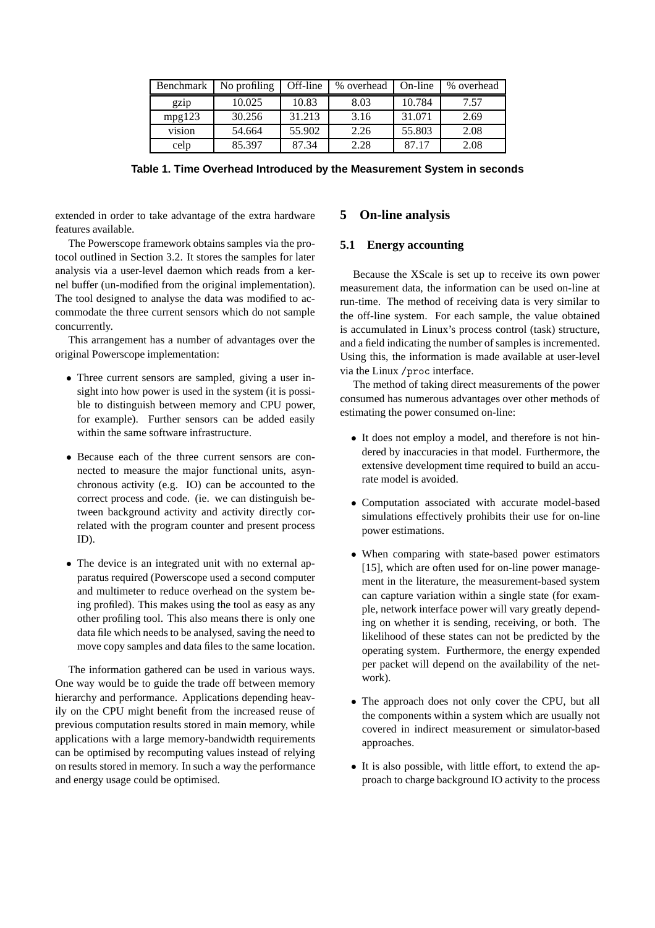| Benchmark | No profiling | Off-line | % overhead | On-line | % overhead |
|-----------|--------------|----------|------------|---------|------------|
| gz1p      | 10.025       | 10.83    | 8.03       | 10.784  | 7.57       |
| mpg123    | 30.256       | 31.213   | 3.16       | 31.071  | 2.69       |
| vision    | 54.664       | 55.902   | 2.26       | 55.803  | 2.08       |
| celp      | 85.397       | 87.34    | 2.28       | 87.17   | 2.08       |

**Table 1. Time Overhead Introduced by the Measurement System in seconds**

extended in order to take advantage of the extra hardware features available.

The Powerscope framework obtains samples via the protocol outlined in Section 3.2. It stores the samples for later analysis via a user-level daemon which reads from a kernel buffer (un-modified from the original implementation). The tool designed to analyse the data was modified to accommodate the three current sensors which do not sample concurrently.

This arrangement has a number of advantages over the original Powerscope implementation:

- Three current sensors are sampled, giving a user insight into how power is used in the system (it is possible to distinguish between memory and CPU power, for example). Further sensors can be added easily within the same software infrastructure.
- Because each of the three current sensors are connected to measure the major functional units, asynchronous activity (e.g. IO) can be accounted to the correct process and code. (ie. we can distinguish between background activity and activity directly correlated with the program counter and present process ID).
- The device is an integrated unit with no external apparatus required (Powerscope used a second computer and multimeter to reduce overhead on the system being profiled). This makes using the tool as easy as any other profiling tool. This also means there is only one data file which needs to be analysed, saving the need to move copy samples and data files to the same location.

The information gathered can be used in various ways. One way would be to guide the trade off between memory hierarchy and performance. Applications depending heavily on the CPU might benefit from the increased reuse of previous computation results stored in main memory, while applications with a large memory-bandwidth requirements can be optimised by recomputing values instead of relying on results stored in memory. In such a way the performance and energy usage could be optimised.

## **5 On-line analysis**

### **5.1 Energy accounting**

Because the XScale is set up to receive its own power measurement data, the information can be used on-line at run-time. The method of receiving data is very similar to the off-line system. For each sample, the value obtained is accumulated in Linux's process control (task) structure, and a field indicating the number of samples is incremented. Using this, the information is made available at user-level via the Linux /proc interface.

The method of taking direct measurements of the power consumed has numerous advantages over other methods of estimating the power consumed on-line:

- It does not employ a model, and therefore is not hindered by inaccuracies in that model. Furthermore, the extensive development time required to build an accurate model is avoided.
- Computation associated with accurate model-based simulations effectively prohibits their use for on-line power estimations.
- When comparing with state-based power estimators [15], which are often used for on-line power management in the literature, the measurement-based system can capture variation within a single state (for example, network interface power will vary greatly depending on whether it is sending, receiving, or both. The likelihood of these states can not be predicted by the operating system. Furthermore, the energy expended per packet will depend on the availability of the network).
- The approach does not only cover the CPU, but all the components within a system which are usually not covered in indirect measurement or simulator-based approaches.
- It is also possible, with little effort, to extend the approach to charge background IO activity to the process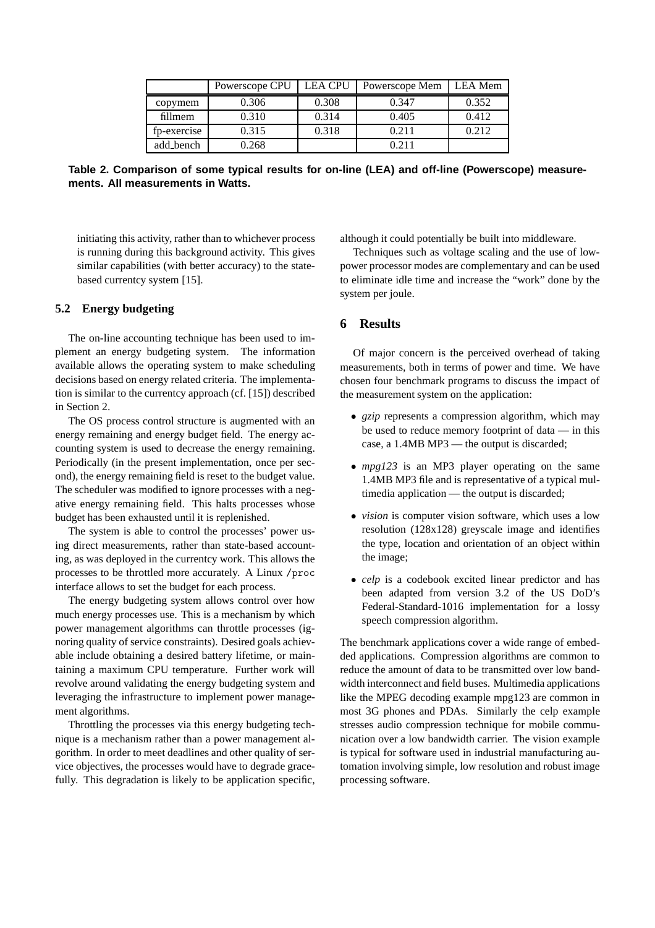|             | Powerscope CPU | <b>LEA CPU</b> | Powerscope Mem | LEA Mem |
|-------------|----------------|----------------|----------------|---------|
| copymem     | 0.306          | 0.308          | 0.347          | 0.352   |
| fillmem     | 0.310          | 0.314          | 0.405          | 0.412   |
| fp-exercise | 0.315          | 0.318          | 0.211          | 0.212   |
| add_bench   | 0.268          |                | 0 211          |         |

**Table 2. Comparison of some typical results for on-line (LEA) and off-line (Powerscope) measurements. All measurements in Watts.**

initiating this activity, rather than to whichever process is running during this background activity. This gives similar capabilities (with better accuracy) to the statebased currentcy system [15].

### **5.2 Energy budgeting**

The on-line accounting technique has been used to implement an energy budgeting system. The information available allows the operating system to make scheduling decisions based on energy related criteria. The implementation is similar to the currentcy approach (cf. [15]) described in Section 2.

The OS process control structure is augmented with an energy remaining and energy budget field. The energy accounting system is used to decrease the energy remaining. Periodically (in the present implementation, once per second), the energy remaining field is reset to the budget value. The scheduler was modified to ignore processes with a negative energy remaining field. This halts processes whose budget has been exhausted until it is replenished.

The system is able to control the processes' power using direct measurements, rather than state-based accounting, as was deployed in the currentcy work. This allows the processes to be throttled more accurately. A Linux /proc interface allows to set the budget for each process.

The energy budgeting system allows control over how much energy processes use. This is a mechanism by which power management algorithms can throttle processes (ignoring quality of service constraints). Desired goals achievable include obtaining a desired battery lifetime, or maintaining a maximum CPU temperature. Further work will revolve around validating the energy budgeting system and leveraging the infrastructure to implement power management algorithms.

Throttling the processes via this energy budgeting technique is a mechanism rather than a power management algorithm. In order to meet deadlines and other quality of service objectives, the processes would have to degrade gracefully. This degradation is likely to be application specific. although it could potentially be built into middleware.

Techniques such as voltage scaling and the use of lowpower processor modes are complementary and can be used to eliminate idle time and increase the "work" done by the system per joule.

#### **6 Results**

Of major concern is the perceived overhead of taking measurements, both in terms of power and time. We have chosen four benchmark programs to discuss the impact of the measurement system on the application:

- *gzip* represents a compression algorithm, which may be used to reduce memory footprint of data — in this case, a 1.4MB MP3 — the output is discarded;
- *mpg123* is an MP3 player operating on the same 1.4MB MP3 file and is representative of a typical multimedia application — the output is discarded;
- *vision* is computer vision software, which uses a low resolution (128x128) greyscale image and identifies the type, location and orientation of an object within the image;
- *celp* is a codebook excited linear predictor and has been adapted from version 3.2 of the US DoD's Federal-Standard-1016 implementation for a lossy speech compression algorithm.

The benchmark applications cover a wide range of embedded applications. Compression algorithms are common to reduce the amount of data to be transmitted over low bandwidth interconnect and field buses. Multimedia applications like the MPEG decoding example mpg123 are common in most 3G phones and PDAs. Similarly the celp example stresses audio compression technique for mobile communication over a low bandwidth carrier. The vision example is typical for software used in industrial manufacturing automation involving simple, low resolution and robust image processing software.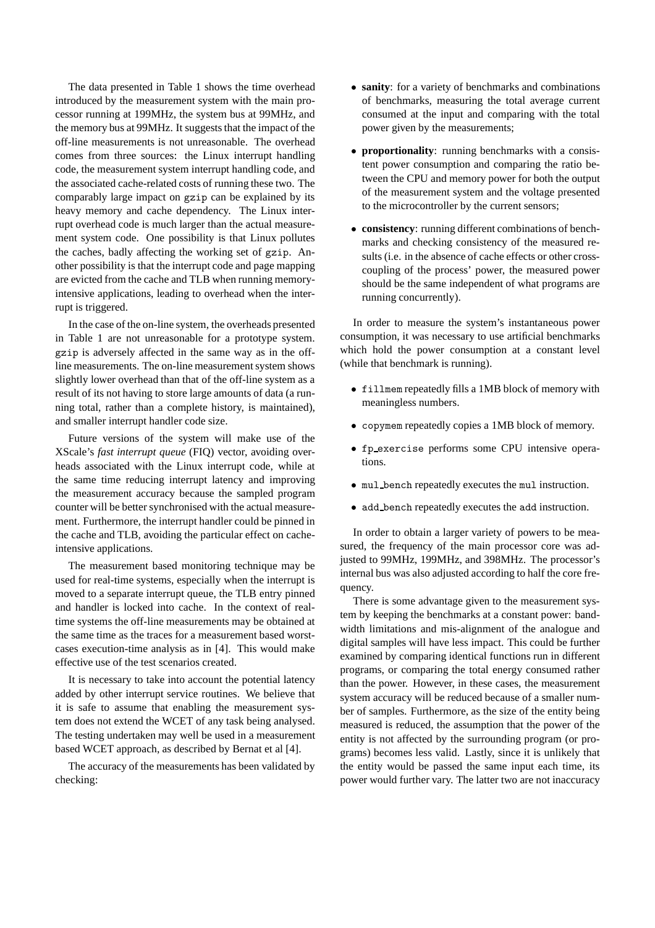The data presented in Table 1 shows the time overhead introduced by the measurement system with the main processor running at 199MHz, the system bus at 99MHz, and the memory bus at 99MHz. It suggests that the impact of the off-line measurements is not unreasonable. The overhead comes from three sources: the Linux interrupt handling code, the measurement system interrupt handling code, and the associated cache-related costs of running these two. The comparably large impact on gzip can be explained by its heavy memory and cache dependency. The Linux interrupt overhead code is much larger than the actual measurement system code. One possibility is that Linux pollutes the caches, badly affecting the working set of gzip. Another possibility is that the interrupt code and page mapping are evicted from the cache and TLB when running memoryintensive applications, leading to overhead when the interrupt is triggered.

In the case of the on-line system, the overheads presented in Table 1 are not unreasonable for a prototype system. gzip is adversely affected in the same way as in the offline measurements. The on-line measurement system shows slightly lower overhead than that of the off-line system as a result of its not having to store large amounts of data (a running total, rather than a complete history, is maintained), and smaller interrupt handler code size.

Future versions of the system will make use of the XScale's *fast interrupt queue* (FIQ) vector, avoiding overheads associated with the Linux interrupt code, while at the same time reducing interrupt latency and improving the measurement accuracy because the sampled program counter will be better synchronised with the actual measurement. Furthermore, the interrupt handler could be pinned in the cache and TLB, avoiding the particular effect on cacheintensive applications.

The measurement based monitoring technique may be used for real-time systems, especially when the interrupt is moved to a separate interrupt queue, the TLB entry pinned and handler is locked into cache. In the context of realtime systems the off-line measurements may be obtained at the same time as the traces for a measurement based worstcases execution-time analysis as in [4]. This would make effective use of the test scenarios created.

It is necessary to take into account the potential latency added by other interrupt service routines. We believe that it is safe to assume that enabling the measurement system does not extend the WCET of any task being analysed. The testing undertaken may well be used in a measurement based WCET approach, as described by Bernat et al [4].

The accuracy of the measurements has been validated by checking:

- **sanity**: for a variety of benchmarks and combinations of benchmarks, measuring the total average current consumed at the input and comparing with the total power given by the measurements;
- **proportionality**: running benchmarks with a consistent power consumption and comparing the ratio between the CPU and memory power for both the output of the measurement system and the voltage presented to the microcontroller by the current sensors;
- **consistency**: running different combinations of benchmarks and checking consistency of the measured results (i.e. in the absence of cache effects or other crosscoupling of the process' power, the measured power should be the same independent of what programs are running concurrently).

In order to measure the system's instantaneous power consumption, it was necessary to use artificial benchmarks which hold the power consumption at a constant level (while that benchmark is running).

- fillmem repeatedly fills a 1MB block of memory with meaningless numbers.
- copymem repeatedly copies a 1MB block of memory.
- fp exercise performs some CPU intensive operations.
- mul bench repeatedly executes the mul instruction.
- add bench repeatedly executes the add instruction.

In order to obtain a larger variety of powers to be measured, the frequency of the main processor core was adjusted to 99MHz, 199MHz, and 398MHz. The processor's internal bus was also adjusted according to half the core frequency.

There is some advantage given to the measurement system by keeping the benchmarks at a constant power: bandwidth limitations and mis-alignment of the analogue and digital samples will have less impact. This could be further examined by comparing identical functions run in different programs, or comparing the total energy consumed rather than the power. However, in these cases, the measurement system accuracy will be reduced because of a smaller number of samples. Furthermore, as the size of the entity being measured is reduced, the assumption that the power of the entity is not affected by the surrounding program (or programs) becomes less valid. Lastly, since it is unlikely that the entity would be passed the same input each time, its power would further vary. The latter two are not inaccuracy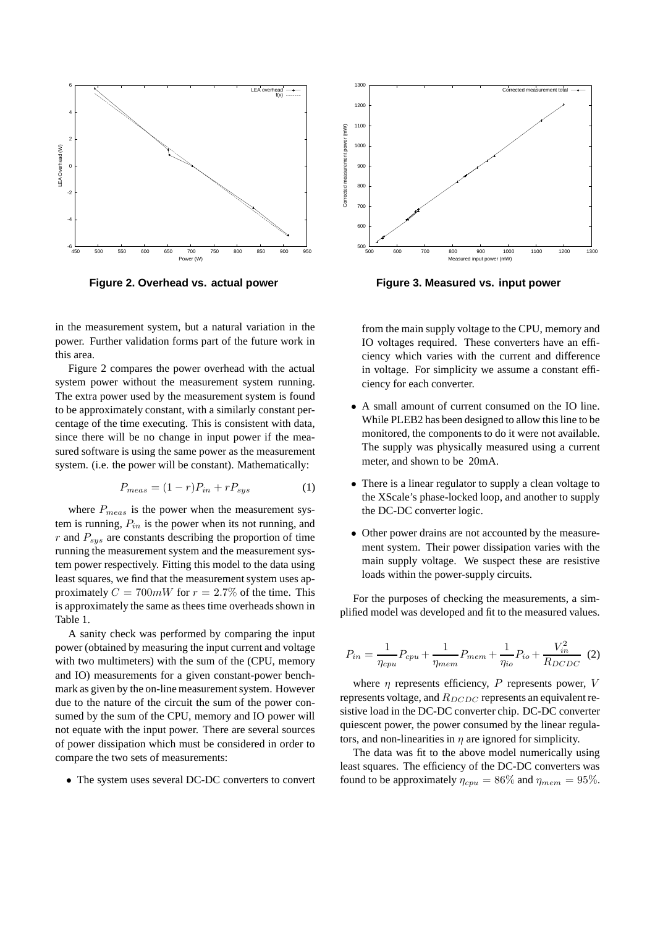

**Figure 2. Overhead vs. actual power**

in the measurement system, but a natural variation in the power. Further validation forms part of the future work in this area.

Figure 2 compares the power overhead with the actual system power without the measurement system running. The extra power used by the measurement system is found to be approximately constant, with a similarly constant percentage of the time executing. This is consistent with data, since there will be no change in input power if the measured software is using the same power as the measurement system. (i.e. the power will be constant). Mathematically:

$$
P_{meas} = (1 - r)P_{in} + rP_{sys}
$$
 (1)

where  $P_{meas}$  is the power when the measurement system is running,  $P_{in}$  is the power when its not running, and  $r$  and  $P_{sus}$  are constants describing the proportion of time running the measurement system and the measurement system power respectively. Fitting this model to the data using least squares, we find that the measurement system uses approximately  $C = 700mW$  for  $r = 2.7\%$  of the time. This is approximately the same as thees time overheads shown in Table 1.

A sanity check was performed by comparing the input power (obtained by measuring the input current and voltage with two multimeters) with the sum of the (CPU, memory and IO) measurements for a given constant-power benchmark as given by the on-line measurement system. However due to the nature of the circuit the sum of the power consumed by the sum of the CPU, memory and IO power will not equate with the input power. There are several sources of power dissipation which must be considered in order to compare the two sets of measurements:

• The system uses several DC-DC converters to convert



**Figure 3. Measured vs. input power**

from the main supply voltage to the CPU, memory and IO voltages required. These converters have an efficiency which varies with the current and difference in voltage. For simplicity we assume a constant efficiency for each converter.

- A small amount of current consumed on the IO line. While PLEB2 has been designed to allow this line to be monitored, the components to do it were not available. The supply was physically measured using a current meter, and shown to be 20mA.
- There is a linear regulator to supply a clean voltage to the XScale's phase-locked loop, and another to supply the DC-DC converter logic.
- Other power drains are not accounted by the measurement system. Their power dissipation varies with the main supply voltage. We suspect these are resistive loads within the power-supply circuits.

For the purposes of checking the measurements, a simplified model was developed and fit to the measured values.

$$
P_{in} = \frac{1}{\eta_{cpu}} P_{cpu} + \frac{1}{\eta_{mem}} P_{mem} + \frac{1}{\eta_{io}} P_{io} + \frac{V_{in}^2}{R_{DCDC}} \tag{2}
$$

where  $\eta$  represents efficiency, P represents power, V represents voltage, and  $R_{DCDC}$  represents an equivalent resistive load in the DC-DC converter chip. DC-DC converter quiescent power, the power consumed by the linear regulators, and non-linearities in  $\eta$  are ignored for simplicity.

The data was fit to the above model numerically using least squares. The efficiency of the DC-DC converters was found to be approximately  $\eta_{cpu} = 86\%$  and  $\eta_{mem} = 95\%$ .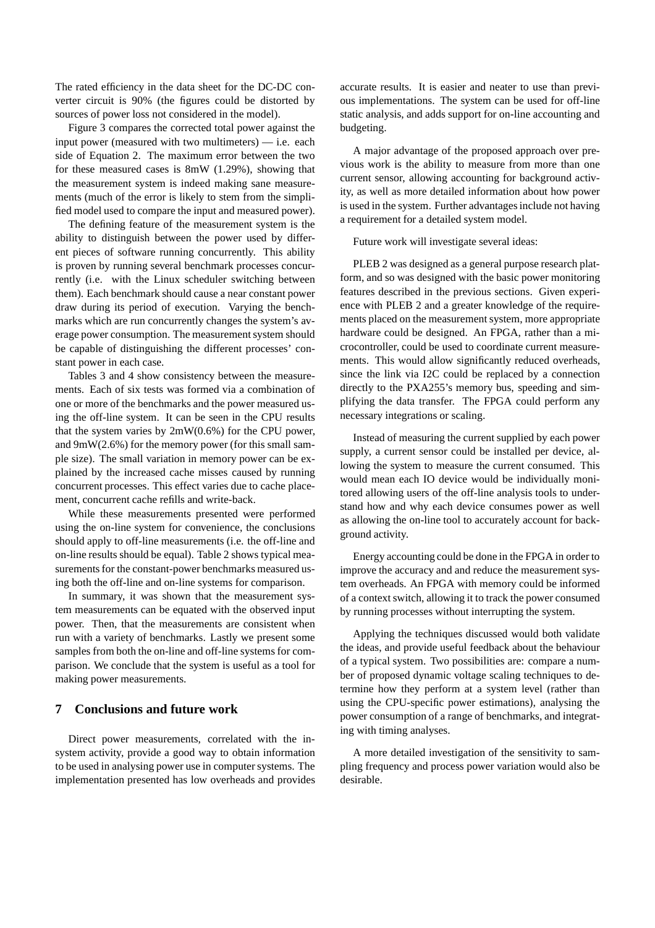The rated efficiency in the data sheet for the DC-DC converter circuit is 90% (the figures could be distorted by sources of power loss not considered in the model).

Figure 3 compares the corrected total power against the input power (measured with two multimeters) — i.e. each side of Equation 2. The maximum error between the two for these measured cases is 8mW (1.29%), showing that the measurement system is indeed making sane measurements (much of the error is likely to stem from the simplified model used to compare the input and measured power).

The defining feature of the measurement system is the ability to distinguish between the power used by different pieces of software running concurrently. This ability is proven by running several benchmark processes concurrently (i.e. with the Linux scheduler switching between them). Each benchmark should cause a near constant power draw during its period of execution. Varying the benchmarks which are run concurrently changes the system's average power consumption. The measurement system should be capable of distinguishing the different processes' constant power in each case.

Tables 3 and 4 show consistency between the measurements. Each of six tests was formed via a combination of one or more of the benchmarks and the power measured using the off-line system. It can be seen in the CPU results that the system varies by 2mW(0.6%) for the CPU power, and 9mW(2.6%) for the memory power (for this small sample size). The small variation in memory power can be explained by the increased cache misses caused by running concurrent processes. This effect varies due to cache placement, concurrent cache refills and write-back.

While these measurements presented were performed using the on-line system for convenience, the conclusions should apply to off-line measurements (i.e. the off-line and on-line results should be equal). Table 2 shows typical measurements for the constant-power benchmarks measured using both the off-line and on-line systems for comparison.

In summary, it was shown that the measurement system measurements can be equated with the observed input power. Then, that the measurements are consistent when run with a variety of benchmarks. Lastly we present some samples from both the on-line and off-line systems for comparison. We conclude that the system is useful as a tool for making power measurements.

## **7 Conclusions and future work**

Direct power measurements, correlated with the insystem activity, provide a good way to obtain information to be used in analysing power use in computer systems. The implementation presented has low overheads and provides accurate results. It is easier and neater to use than previous implementations. The system can be used for off-line static analysis, and adds support for on-line accounting and budgeting.

A major advantage of the proposed approach over previous work is the ability to measure from more than one current sensor, allowing accounting for background activity, as well as more detailed information about how power is used in the system. Further advantages include not having a requirement for a detailed system model.

Future work will investigate several ideas:

PLEB 2 was designed as a general purpose research platform, and so was designed with the basic power monitoring features described in the previous sections. Given experience with PLEB 2 and a greater knowledge of the requirements placed on the measurement system, more appropriate hardware could be designed. An FPGA, rather than a microcontroller, could be used to coordinate current measurements. This would allow significantly reduced overheads, since the link via I2C could be replaced by a connection directly to the PXA255's memory bus, speeding and simplifying the data transfer. The FPGA could perform any necessary integrations or scaling.

Instead of measuring the current supplied by each power supply, a current sensor could be installed per device, allowing the system to measure the current consumed. This would mean each IO device would be individually monitored allowing users of the off-line analysis tools to understand how and why each device consumes power as well as allowing the on-line tool to accurately account for background activity.

Energy accounting could be done in the FPGA in order to improve the accuracy and and reduce the measurement system overheads. An FPGA with memory could be informed of a context switch, allowing it to track the power consumed by running processes without interrupting the system.

Applying the techniques discussed would both validate the ideas, and provide useful feedback about the behaviour of a typical system. Two possibilities are: compare a number of proposed dynamic voltage scaling techniques to determine how they perform at a system level (rather than using the CPU-specific power estimations), analysing the power consumption of a range of benchmarks, and integrating with timing analyses.

A more detailed investigation of the sensitivity to sampling frequency and process power variation would also be desirable.